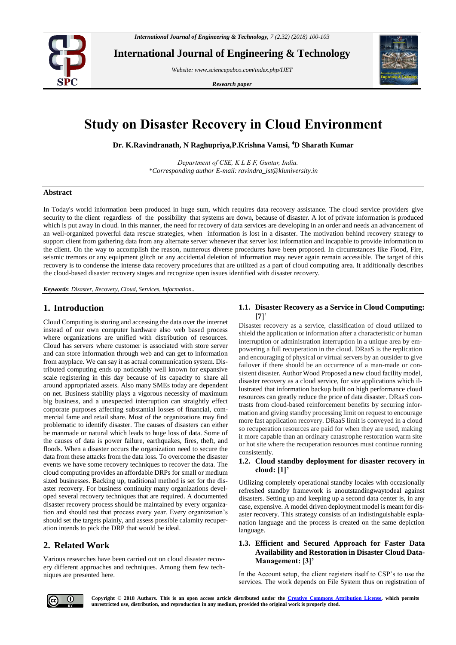

**International Journal of Engineering & Technology**

*Website: www.sciencepubco.com/index.php/IJET*

*Research paper*



# **Study on Disaster Recovery in Cloud Environment**

**Dr. K.Ravindranath, N Raghupriya,P.Krishna Vamsi, <sup>4</sup>D Sharath Kumar**

*Department of CSE, K L E F, Guntur, India. \*Corresponding author E-mail:ravindra\_ist@kluniversity.in*

## **Abstract**

In Today's world information been produced in huge sum, which requires data recovery assistance. The cloud service providers give security to the client regardless of the possibility that systems are down, because of disaster. A lot of private information is produced which is put away in cloud. In this manner, the need for recovery of data services are developing in an order and needs an advancement of an well-organized powerful data rescue strategies, when information is lost in a disaster. The motivation behind recovery strategy to support client from gathering data from any alternate server whenever that server lost information and incapable to provide information to the client. On the way to accomplish the reason, numerous diverse procedures have been proposed. In circumstances like Flood, Fire, seismic tremors or any equipment glitch or any accidental deletion of information may never again remain accessible. The target of this recovery is to condense the intense data recovery procedures that are utilized as a part of cloud computing area. It additionally describes the cloud-based disaster recovery stages and recognize open issues identified with disaster recovery.

*Keywords*: *Disaster, Recovery, Cloud, Services, Information..*

# **1. Introduction**

Cloud Computing is storing and accessing the data over the internet instead of our own computer hardware also web based process where organizations are unified with distribution of resources. Cloud has servers where customer is associated with store server and can store information through web and can get to information from anyplace. We can say it as actual communication system. Distributed computing ends up noticeably well known for expansive scale registering in this day because of its capacity to share all around appropriated assets. Also many SMEs today are dependent on net. Business stability plays a vigorous necessity of maximum big business, and a unexpected interruption can straightly effect corporate purposes affecting substantial losses of financial, commercial fame and retail share. Most of the organizations may find problematic to identify disaster. The causes of disasters can either be manmade or natural which leads to huge loss of data. Some of the causes of data is power failure, earthquakes, fires, theft, and floods. When a disaster occurs the organization need to secure the data from these attacks from the data loss. To overcome the disaster events we have some recovery techniques to recover the data. The cloud computing provides an affordable DRPs for small or medium sized businesses. Backing up, traditional method is set for the disaster recovery. For business continuity many organizations developed several recovery techniques that are required. A documented disaster recovery process should be maintained by every organization and should test that process every year. Every organization's should set the targets plainly, and assess possible calamity recuperation intends to pick the DRP that would be ideal.

# **2. Related Work**

Various researches have been carried out on cloud disaster recovery different approaches and techniques. Among them few techniques are presented here.

## **1.1. Disaster Recovery as a Service in Cloud Computing: [7**]'

Disaster recovery as a service, classification of cloud utilized to shield the application or information after a characteristic or human interruption or administration interruption in a unique area by empowering a full recuperation in the cloud. DRaaS is the replication and encouraging of physical or virtual servers by an outsider to give failover if there should be an occurrence of a man-made or consistent disaster. Author Wood Proposed a new cloud facility model, disaster recovery as a cloud service, for site applications which illustrated that information backup built on high performance cloud resources can greatly reduce the price of data disaster. DRaaS contrasts from cloud-based reinforcement benefits by securing information and giving standby processing limit on request to encourage more fast application recovery. DRaaS limit is conveyed in a cloud so recuperation resources are paid for when they are used, making it more capable than an ordinary catastrophe restoration warm site or hot site where the recuperation resources must continue running consistently.

## **1.2. Cloud standby deployment for disaster recovery in cloud: [1]'**

Utilizing completely operational standby locales with occasionally refreshed standby framework is anoutstandingwaytodeal against disasters. Setting up and keeping up a second data center is, in any case, expensive. A model driven deployment model is meant for disaster recovery. This strategy consists of an indistinguishable explanation language and the process is created on the same depiction language.

## **1.3. Efficient and Secured Approach for Faster Data Availability and Restoration in Disaster Cloud Data-Management: [3]'**

In the Account setup, the client registers itself to CSP's to use the services. The work depends on File System thus on registration of

**Copyright © 2018 Authors. This is an open access article distributed under the [Creative Commons Attribution License,](http://creativecommons.org/licenses/by/3.0/) which permits unrestricted use, distribution, and reproduction in any medium, provided the original work is properly cited.**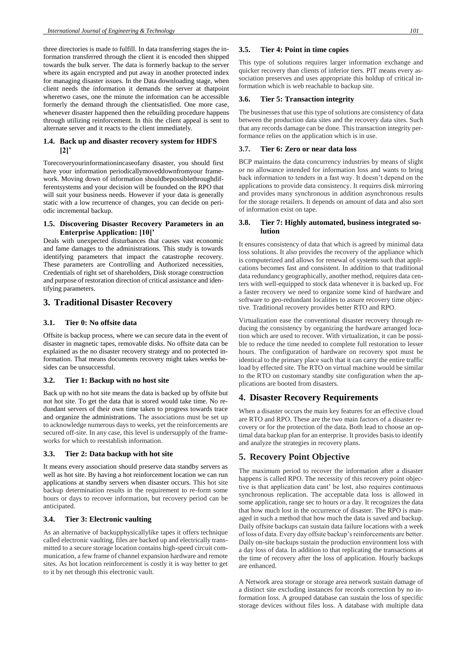three directories is made to fulfill. In data transferring stages the information transferred through the client it is encoded then shipped towards the bulk server. The data is formerly backup to the server where its again encrypted and put away in another protected index for managing disaster issues. In the Data downloading stage, when client needs the information it demands the server at thatpoint wheretwo cases, one the minute the information can be accessible formerly the demand through the clientsatisfied. One more case, whenever disaster happened then the rebuilding procedure happens through utilizing reinforcement. In this the client appeal is sent to alternate server and it reacts to the client immediately.

## **1.4. Back up and disaster recovery system for HDFS [2]'**

Torecoveryourinformationincaseofany disaster, you should first have your information periodicallymoveddownfromyour framework. Moving down of information shouldbepossiblethroughdifferentsystems and your decision will be founded on the RPO that will suit your business needs. However if your data is generally static with a low recurrence of changes, you can decide on periodic incremental backup.

## **1.5. Discovering Disaster Recovery Parameters in an Enterprise Application: [10]'**

Deals with unexpected disturbances that causes vast economic and fame damages to the administrations. This study is towards identifying parameters that impact the catastrophe recovery. These parameters are Controlling and Authorized necessities, Credentials of right set of shareholders, Disk storage construction and purpose of restoration direction of critical assistance and identifying parameters.

# **3. Traditional Disaster Recovery**

### **3.1. Tier 0: No offsite data**

Offsite is backup process, where we can secure data in the event of disaster in magnetic tapes, removable disks. No offsite data can be explained as the no disaster recovery strategy and no protected information. That means documents recovery might takes weeks besides can be unsuccessful.

#### **3.2. Tier 1: Backup with no host site**

Back up with no hot site means the data is backed up by offsite but not hot site. To get the data that is stored would take time. No redundant servers of their own time taken to progress towards trace and organize the administrations. The associations must be set up to acknowledge numerous days to weeks, yet the reinforcements are secured off-site. In any case, this level is undersupply of the frameworks for which to reestablish information.

#### **3.3. Tier 2: Data backup with hot site**

It means every association should preserve data standby servers as well as hot site. By having a hot reinforcement location we can run applications at standby servers when disaster occurs. This hot site backup determination results in the requirement to re-form some hours or days to recover information, but recovery period can be anticipated.

#### **3.4. Tier 3: Electronic vaulting**

As an alternative of backupphysicallylike tapes it offers technique called electronic vaulting, files are backed up and electrically transmitted to a secure storage location contains high-speed circuit communication, a few frame of channel expansion hardware and remote sites. As hot location reinforcement is costly it is way better to get to it by net through this electronic vault.

## **3.5. Tier 4: Point in time copies**

This type of solutions requires larger information exchange and quicker recovery than clients of inferior tiers. PIT means every association preserves and uses appropriate this holdup of critical information which is web reachable to backup site.

#### **3.6. Tier 5: Transaction integrity**

The businesses that use this type of solutions are consistency of data between the production data sites and the recovery data sites. Such that any records damage can be done. This transaction integrity performance relies on the application which is in use.

#### **3.7. Tier 6: Zero or near data loss**

BCP maintains the data concurrency industries by means of slight or no allowance intended for information loss and wants to bring back information to tenders in a fast way. It doesn't depend on the applications to provide data consistency. It requires disk mirroring and provides many synchronous in addition asynchronous results for the storage retailers. It depends on amount of data and also sort of information exist on tape.

## **3.8. Tier 7: Highly automated, business integrated solution**

It ensures consistency of data that which is agreed by minimal data loss solutions. It also provides the recovery of the appliance which is computerized and allows for renewal of systems such that applications becomes fast and consistent. In addition to that traditional data redundancy geographically, another method, requires data centers with well-equipped to stock data whenever it is backed up. For a faster recovery we need to organize some kind of hardware and software to geo-redundant localities to assure recovery time objective. Traditional recovery provides better RTO and RPO.

Virtualization ease the conventional disaster recovery through reducing the consistency by organizing the hardware arranged location which are used to recover. With virtualization, it can be possible to reduce the time needed to complete full restoration to lesser hours. The configuration of hardware on recovery spot must be identical to the primary place such that it can carry the entire traffic load by effected site. The RTO on virtual machine would be similar to the RTO on customary standby site configuration when the applications are booted from disasters.

# **4. Disaster Recovery Requirements**

When a disaster occurs the main key features for an effective cloud are RTO and RPO. These are the two main factors of a disaster recovery or for the protection of the data. Both lead to choose an optimal data backup plan for an enterprise. It provides basis to identify and analyze the strategies in recovery plans.

# **5. Recovery Point Objective**

The maximum period to recover the information after a disaster happens is called RPO. The necessity of this recovery point objective is that application data cant' be lost, also requires continuous synchronous replication. The acceptable data loss is allowed in some application, range sec to hours or a day. It recognizes the data that how much lost in the occurrence of disaster. The RPO is managed in such a method that how much the data is saved and backup. Daily offsite backups can sustain data failure locations with a week of loss of data. Every day offsite backup's reinforcements are better. Daily on-site backups sustain the production environment loss with a day loss of data. In addition to that replicating the transactions at the time of recovery after the loss of application. Hourly backups are enhanced.

A Network area storage or storage area network sustain damage of a distinct site excluding instances for records correction by no information loss. A grouped database can sustain the loss of specific storage devices without files loss. A database with multiple data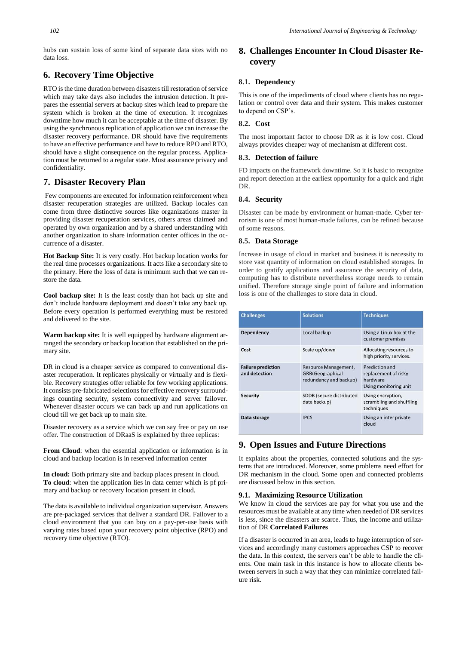hubs can sustain loss of some kind of separate data sites with no data loss.

# **6. Recovery Time Objective**

RTO is the time duration between disasters till restoration of service which may take days also includes the intrusion detection. It prepares the essential servers at backup sites which lead to prepare the system which is broken at the time of execution. It recognizes downtime how much it can be acceptable at the time of disaster. By using the synchronous replication of application we can increase the disaster recovery performance. DR should have five requirements to have an effective performance and have to reduce RPO and RTO, should have a slight consequence on the regular process. Application must be returned to a regular state. Must assurance privacy and confidentiality.

# **7. Disaster Recovery Plan**

Few components are executed for information reinforcement when disaster recuperation strategies are utilized. Backup locales can come from three distinctive sources like organizations master in providing disaster recuperation services, others areas claimed and operated by own organization and by a shared understanding with another organization to share information center offices in the occurrence of a disaster.

**Hot Backup Site:** It is very costly. Hot backup location works for the real time processes organizations. It acts like a secondary site to the primary. Here the loss of data is minimum such that we can restore the data.

**Cool backup site:** It is the least costly than hot back up site and don't include hardware deployment and doesn't take any back up. Before every operation is performed everything must be restored and delivered to the site.

**Warm backup site:** It is well equipped by hardware alignment arranged the secondary or backup location that established on the primary site.

DR in cloud is a cheaper service as compared to conventional disaster recuperation. It replicates physically or virtually and is flexible. Recovery strategies offer reliable for few working applications. It consists pre-fabricated selections for effective recovery surroundings counting security, system connectivity and server failover. Whenever disaster occurs we can back up and run applications on cloud till we get back up to main site.

Disaster recovery as a service which we can say free or pay on use offer. The construction of DRaaS is explained by three replicas:

**From Cloud**: when the essential application or information is in cloud and backup location is in reserved information center

**In cloud:** Both primary site and backup places present in cloud. **To cloud**: when the application lies in data center which is pf primary and backup or recovery location present in cloud.

The data is available to individual organization supervisor. Answers are pre-packaged services that deliver a standard DR. Failover to a cloud environment that you can buy on a pay-per-use basis with varying rates based upon your recovery point objective (RPO) and recovery time objective (RTO).

# **8. Challenges Encounter In Cloud Disaster Recovery**

## **8.1. Dependency**

This is one of the impediments of cloud where clients has no regulation or control over data and their system. This makes customer to depend on CSP's.

## **8.2. Cost**

The most important factor to choose DR as it is low cost. Cloud always provides cheaper way of mechanism at different cost.

## **8.3. Detection of failure**

FD impacts on the framework downtime. So it is basic to recognize and report detection at the earliest opportunity for a quick and right DR.

## **8.4. Security**

Disaster can be made by environment or human-made. Cyber terrorism is one of most human-made failures, can be refined because of some reasons.

## **8.5. Data Storage**

Increase in usage of cloud in market and business it is necessity to store vast quantity of information on cloud established storages. In order to gratify applications and assurance the security of data, computing has to distribute nevertheless storage needs to remain unified. Therefore storage single point of failure and information loss is one of the challenges to store data in cloud.

| <b>Challenges</b>                          | <b>Solutions</b>                                                           | <b>Techniques</b>                                                           |
|--------------------------------------------|----------------------------------------------------------------------------|-----------------------------------------------------------------------------|
| <b>Dependency</b>                          | Local backup                                                               | Using a Linux box at the<br>customer premises                               |
| Cost                                       | Scale up/down                                                              | Allocating resources to<br>high priority services.                          |
| <b>Failure prediction</b><br>and detection | Resource Management,<br><b>GRB</b> (Geographical<br>redundancy and backup) | Prediction and<br>replacement of risky<br>hardware<br>Using monitoring unit |
| <b>Security</b>                            | SDDB (secure distributed<br>data backup)                                   | Using encryption,<br>scrambling and shuffling<br>techniques                 |
| Data storage                               | <b>IPCS</b>                                                                | Using an inter private<br>cloud                                             |

# **9. Open Issues and Future Directions**

It explains about the properties, connected solutions and the systems that are introduced. Moreover, some problems need effort for DR mechanism in the cloud. Some open and connected problems are discussed below in this section.

#### **9.1. Maximizing Resource Utilization**

We know in cloud the services are pay for what you use and the resources must be available at any time when needed of DR services is less, since the disasters are scarce. Thus, the income and utilization of DR **Correlated Failures**

If a disaster is occurred in an area, leads to huge interruption of services and accordingly many customers approaches CSP to recover the data. In this context, the servers can't be able to handle the clients. One main task in this instance is how to allocate clients between servers in such a way that they can minimize correlated failure risk.